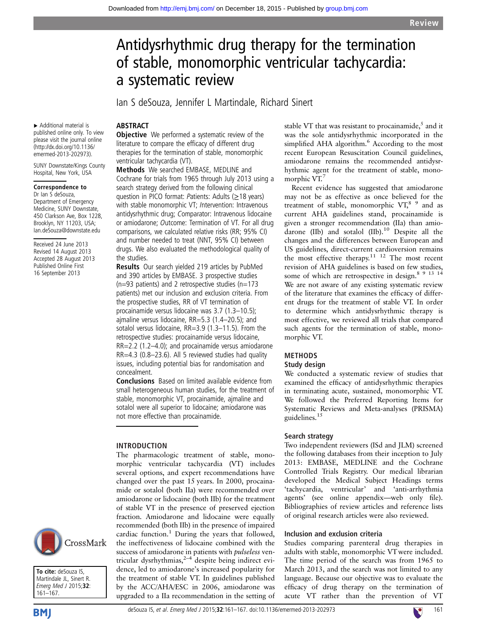# Antidysrhythmic drug therapy for the termination of stable, monomorphic ventricular tachycardia: a systematic review

Ian S deSouza, Jennifer L Martindale, Richard Sinert

### ▸ Additional material is published online only. To view please visit the journal online [\(http://dx.doi.org/10.1136/](http://dx.doi.org/10.1136/emermed-2013-202973)

SUNY Downstate/Kings County Hospital, New York, USA

[emermed-2013-202973](http://dx.doi.org/10.1136/emermed-2013-202973)).

### Correspondence to Dr Ian S deSouza,

Department of Emergency Medicine, SUNY Downstate, 450 Clarkson Ave, Box 1228, Brooklyn, NY 11203, USA; Ian.deSouza@downstate.edu

Received 24 June 2013 Revised 14 August 2013 Accepted 28 August 2013 Published Online First 16 September 2013



To cite: deSouza IS, Martindale JL, Sinert R. Emerg Med J 2015;32: 161–167.

# **ABSTRACT**

**Objective** We performed a systematic review of the literature to compare the efficacy of different drug therapies for the termination of stable, monomorphic ventricular tachycardia (VT).

Methods We searched EMBASE, MEDLINE and Cochrane for trials from 1965 through July 2013 using a search strategy derived from the following clinical question in PICO format: Patients: Adults ( $\geq$ 18 years) with stable monomorphic VT; Intervention: Intravenous antidysrhythmic drug; Comparator: Intravenous lidocaine or amiodarone; Outcome: Termination of VT. For all drug comparisons, we calculated relative risks (RR; 95% CI) and number needed to treat (NNT, 95% CI) between drugs. We also evaluated the methodological quality of the studies.

Results Our search yielded 219 articles by PubMed and 390 articles by EMBASE. 3 prospective studies  $(n=93$  patients) and 2 retrospective studies  $(n=173)$ patients) met our inclusion and exclusion criteria. From the prospective studies, RR of VT termination of procainamide versus lidocaine was 3.7 (1.3–10.5); ajmaline versus lidocaine, RR=5.3 (1.4–20.5); and sotalol versus lidocaine, RR=3.9 (1.3–11.5). From the retrospective studies: procainamide versus lidocaine, RR=2.2 (1.2–4.0); and procainamide versus amiodarone RR=4.3 (0.8–23.6). All 5 reviewed studies had quality issues, including potential bias for randomisation and concealment.

Conclusions Based on limited available evidence from small heterogeneous human studies, for the treatment of stable, monomorphic VT, procainamide, ajmaline and sotalol were all superior to lidocaine; amiodarone was not more effective than procainamide.

## INTRODUCTION

The pharmacologic treatment of stable, monomorphic ventricular tachycardia (VT) includes several options, and expert recommendations have changed over the past 15 years. In 2000, procainamide or sotalol (both IIa) were recommended over amiodarone or lidocaine (both IIb) for the treatment of stable VT in the presence of preserved ejection fraction. Amiodarone and lidocaine were equally recommended (both IIb) in the presence of impaired cardiac function.<sup>1</sup> During the years that followed, the ineffectiveness of lidocaine combined with the success of amiodarone in patients with pulseless ventricular dysrhythmias, $2-4$  despite being indirect evidence, led to amiodarone's increased popularity for the treatment of stable VT. In guidelines published by the ACC/AHA/ESC in 2006, amiodarone was upgraded to a IIa recommendation in the setting of

stable VT that was resistant to procainamide, $<sup>5</sup>$  and it</sup> was the sole antidysrhythmic incorporated in the simplified AHA algorithm.<sup>6</sup> According to the most recent European Resuscitation Council guidelines, amiodarone remains the recommended antidysrhythmic agent for the treatment of stable, monomorphic VT.<sup>7</sup>

Recent evidence has suggested that amiodarone may not be as effective as once believed for the treatment of stable, monomorphic VT, $89$  and as current AHA guidelines stand, procainamide is given a stronger recommendation (IIa) than amiodarone (IIb) and sotalol  $(IIb)$ .<sup>10</sup> Despite all the changes and the differences between European and US guidelines, direct-current cardioversion remains the most effective therapy.<sup>11 12</sup> The most recent revision of AHA guidelines is based on few studies, some of which are retrospective in design.<sup>8 9 13 14</sup> We are not aware of any existing systematic review of the literature that examines the efficacy of different drugs for the treatment of stable VT. In order to determine which antidysrhythmic therapy is most effective, we reviewed all trials that compared such agents for the termination of stable, monomorphic VT.

## METHODS Study design

We conducted a systematic review of studies that examined the efficacy of antidysrhythmic therapies in terminating acute, sustained, monomorphic VT. We followed the Preferred Reporting Items for Systematic Reviews and Meta-analyses (PRISMA) guidelines.15

# Search strategy

Two independent reviewers (ISd and JLM) screened the following databases from their inception to July 2013: EMBASE, MEDLINE and the Cochrane Controlled Trials Registry. Our medical librarian developed the Medical Subject Headings terms 'tachycardia, ventricular' and 'anti-arrhythmia agents' (see online appendix—web only file). Bibliographies of review articles and reference lists of original research articles were also reviewed.

# Inclusion and exclusion criteria

Studies comparing parenteral drug therapies in adults with stable, monomorphic VT were included. The time period of the search was from 1965 to March 2013, and the search was not limited to any language. Because our objective was to evaluate the efficacy of drug therapy on the termination of acute VT rather than the prevention of VT

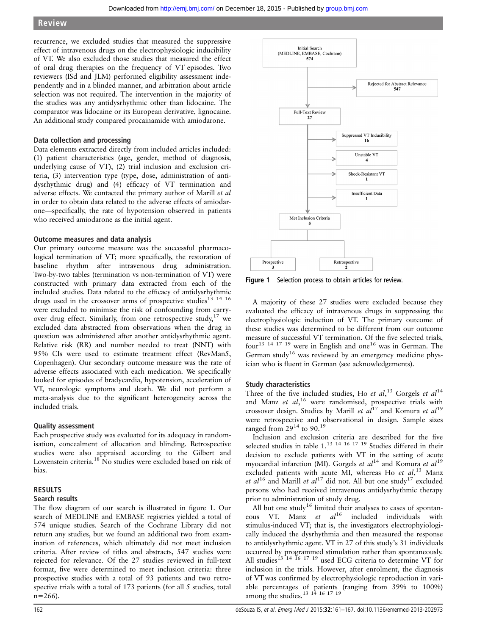recurrence, we excluded studies that measured the suppressive effect of intravenous drugs on the electrophysiologic inducibility of VT. We also excluded those studies that measured the effect of oral drug therapies on the frequency of VT episodes. Two reviewers (ISd and JLM) performed eligibility assessment independently and in a blinded manner, and arbitration about article selection was not required. The intervention in the majority of the studies was any antidysrhythmic other than lidocaine. The comparator was lidocaine or its European derivative, lignocaine. An additional study compared procainamide with amiodarone.

## Data collection and processing

Data elements extracted directly from included articles included: (1) patient characteristics (age, gender, method of diagnosis, underlying cause of VT), (2) trial inclusion and exclusion criteria, (3) intervention type (type, dose, administration of antidysrhythmic drug) and (4) efficacy of VT termination and adverse effects. We contacted the primary author of Marill et al in order to obtain data related to the adverse effects of amiodarone—specifically, the rate of hypotension observed in patients who received amiodarone as the initial agent.

## Outcome measures and data analysis

Our primary outcome measure was the successful pharmacological termination of VT; more specifically, the restoration of baseline rhythm after intravenous drug administration. Two-by-two tables (termination vs non-termination of VT) were constructed with primary data extracted from each of the included studies. Data related to the efficacy of antidysrhythmic drugs used in the crossover arms of prospective studies<sup>13</sup> <sup>14</sup> <sup>16</sup> were excluded to minimise the risk of confounding from carryover drug effect. Similarly, from one retrospective study, $17$  we excluded data abstracted from observations when the drug in question was administered after another antidysrhythmic agent. Relative risk (RR) and number needed to treat (NNT) with 95% CIs were used to estimate treatment effect (RevMan5, Copenhagen). Our secondary outcome measure was the rate of adverse effects associated with each medication. We specifically looked for episodes of bradycardia, hypotension, acceleration of VT, neurologic symptoms and death. We did not perform a meta-analysis due to the significant heterogeneity across the included trials.

# Quality assessment

Each prospective study was evaluated for its adequacy in randomisation, concealment of allocation and blinding. Retrospective studies were also appraised according to the Gilbert and Lowenstein criteria.<sup>18</sup> No studies were excluded based on risk of bias.

# RESULTS

## Search results

The flow diagram of our search is illustrated in figure 1. Our search of MEDLINE and EMBASE registries yielded a total of 574 unique studies. Search of the Cochrane Library did not return any studies, but we found an additional two from examination of references, which ultimately did not meet inclusion criteria. After review of titles and abstracts, 547 studies were rejected for relevance. Of the 27 studies reviewed in full-text format, five were determined to meet inclusion criteria: three prospective studies with a total of 93 patients and two retrospective trials with a total of 173 patients (for all 5 studies, total  $n=266$ ).



Figure 1 Selection process to obtain articles for review.

A majority of these 27 studies were excluded because they evaluated the efficacy of intravenous drugs in suppressing the electrophysiologic induction of VT. The primary outcome of these studies was determined to be different from our outcome measure of successful VT termination. Of the five selected trials, four<sup>13 14 17 19</sup> were in English and one<sup>16</sup> was in German. The German study<sup>16</sup> was reviewed by an emergency medicine physician who is fluent in German (see acknowledgements).

# Study characteristics

Three of the five included studies, Ho et  $al$ ,<sup>13</sup>, Gorgels et  $al$ <sup>14</sup> and Manz et al,<sup>16</sup> were randomised, prospective trials with crossover design. Studies by Marill et  $al^{17}$  and Komura et  $al^{19}$ were retrospective and observational in design. Sample sizes ranged from  $29^{14}$  to 90.<sup>19</sup>

Inclusion and exclusion criteria are described for the five selected studies in table  $1.^{13}$   $14$   $16$   $17$   $19$  Studies differed in their decision to exclude patients with VT in the setting of acute myocardial infarction (MI). Gorgels et  $al^{14}$  and Komura et  $al^{19}$ excluded patients with acute MI, whereas Ho et  $al$ ,<sup>13</sup> Manz et al<sup>16</sup> and Marill et al<sup>17</sup> did not. All but one study<sup>17</sup> excluded persons who had received intravenous antidysrhythmic therapy prior to administration of study drug.

All but one study<sup>16</sup> limited their analyses to cases of spontaneous VT. Manz et  $al^{16}$  included individuals with stimulus-induced VT; that is, the investigators electrophyiologically induced the dysrhythmia and then measured the response to antidysrhythmic agent. VT in 27 of this study's 31 individuals occurred by programmed stimulation rather than spontaneously. All studies<sup>13</sup><sup>14</sup> <sup>16</sup><sup>17</sup><sup>19</sup> used ECG criteria to determine VT for inclusion in the trials. However, after enrolment, the diagnosis of VT was confirmed by electrophysiologic reproduction in variable percentages of patients (ranging from 39% to 100%) among the studies.<sup>13 14</sup> <sup>16</sup> <sup>17</sup> <sup>19</sup>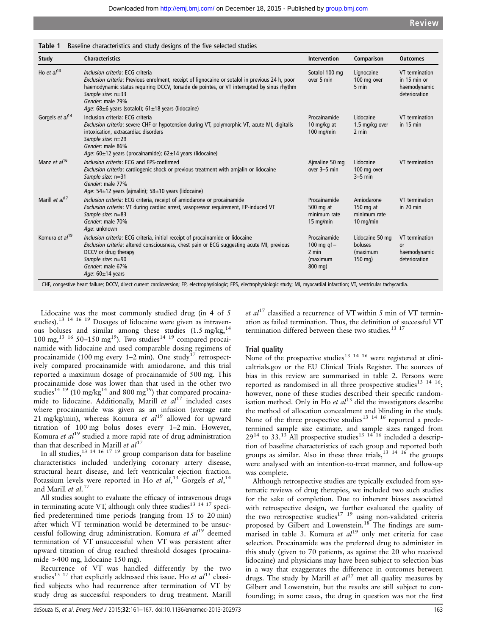| Study                       | <b>Characteristics</b>                                                                                                                                                                                                                                                                                                                  | <b>Intervention</b>                                                    | Comparison                                                 | <b>Outcomes</b><br>VT termination<br>in 15 min or<br>haemodynamic<br>deterioration |  |
|-----------------------------|-----------------------------------------------------------------------------------------------------------------------------------------------------------------------------------------------------------------------------------------------------------------------------------------------------------------------------------------|------------------------------------------------------------------------|------------------------------------------------------------|------------------------------------------------------------------------------------|--|
| Ho et $al^{13}$             | Inclusion criteria: ECG criteria<br>Exclusion criteria: Previous enrolment, receipt of lignocaine or sotalol in previous 24 h, poor<br>haemodynamic status requiring DCCV, torsade de pointes, or VT interrupted by sinus rhythm<br>Sample size: n=33<br>Gender: male 79%<br>Age: $68\pm6$ years (sotalol); $61\pm18$ years (lidocaine) | Sotalol 100 mg<br>over 5 min                                           | Lignocaine<br>100 mg over<br>5 min                         |                                                                                    |  |
| Gorgels et al <sup>14</sup> | Inclusion criteria: ECG criteria<br>Exclusion criteria: severe CHF or hypotension during VT, polymorphic VT, acute MI, digitalis<br>intoxication, extracardiac disorders<br>Sample size: n=29<br>Gender: male 86%<br>Age: $60\pm12$ years (procainamide); $62\pm14$ years (lidocaine)                                                   | Procainamide<br>10 mg/kg at<br>$100$ mg/min                            | Lidocaine<br>1.5 mg/kg over<br>2 min                       | VT termination<br>in 15 min                                                        |  |
| Manz et al <sup>16</sup>    | Inclusion criteria: ECG and EPS-confirmed<br>Exclusion criteria: cardiogenic shock or previous treatment with amjalin or lidocaine<br>Sample size: n=31<br>Gender: male 77%<br>Age: $54\pm12$ years (ajmalin); $58\pm10$ years (lidocaine)                                                                                              | Ajmaline 50 mg<br>over 3-5 min                                         | Lidocaine<br>100 mg over<br>$3-5$ min                      | VT termination                                                                     |  |
| Marill et $al^{17}$         | Inclusion criteria: ECG criteria, receipt of amiodarone or procainamide<br>Exclusion criteria: VT during cardiac arrest, vasopressor requirement, EP-induced VT<br>Sample size: n=83<br>Gender: male 70%<br>Age: unknown                                                                                                                | Procainamide<br>500 mg at<br>minimum rate<br>15 mg/min                 | Amiodarone<br>150 $mg$ at<br>minimum rate<br>10 mg/min     | VT termination<br>in 20 min                                                        |  |
| Komura et al <sup>19</sup>  | Inclusion criteria: ECG criteria, initial receipt of procainamide or lidocaine<br>Exclusion criteria: altered consciousness, chest pain or ECG suggesting acute MI, previous<br>DCCV or drug therapy<br>Sample size: n=90<br>Gender: male 67%<br>Age: $60\pm14$ years                                                                   | Procainamide<br>100 mg $q1 -$<br>2 min<br>(maximum<br>$800 \text{ mg}$ | Lidocaine 50 mg<br>boluses<br>(maximum<br>$150 \text{ mg}$ | VT termination<br>or<br>haemodynamic<br>deterioration                              |  |

Lidocaine was the most commonly studied drug (in 4 of 5 studies).<sup>13 14 16 19</sup> Dosages of lidocaine were given as intravenous boluses and similar among these studies  $(1.5 \text{ mg/kg},^{14})$ 100 mg,  $^{13}$  1<sup>6</sup> 50–150 mg<sup>19</sup>). Two studies<sup>14 19</sup> compared procainamide with lidocaine and used comparable dosing regimens of procainamide (100 mg every 1–2 min). One study<sup>17</sup> retrospectively compared procainamide with amiodarone, and this trial reported a maximum dosage of procainamide of 500 mg. This procainamide dose was lower than that used in the other two procainal that the studies<sup>14 19</sup> (10 mg/kg<sup>14</sup> and 800 mg<sup>19</sup>) that compared procainamide to lidocaine. Additionally, Marill et  $al^{17}$  included cases where procainamide was given as an infusion (average rate 21 mg/kg/min), whereas Komura et  $al^{19}$  allowed for upward titration of 100 mg bolus doses every 1–2 min. However, Komura et  $al^{19}$  studied a more rapid rate of drug administration than that described in Marill et  $al^{17}$ 

In all studies,  $^{13}$  14 16 17 19 group comparison data for baseline characteristics included underlying coronary artery disease, structural heart disease, and left ventricular ejection fraction. Potassium levels were reported in Ho et  $al$ ,<sup>13</sup> Gorgels et  $al$ ,<sup>14</sup> and Marill et al.<sup>17</sup>

All studies sought to evaluate the efficacy of intravenous drugs in terminating acute VT, although only three studies<sup>13 14 17</sup> specified predetermined time periods (ranging from 15 to 20 min) after which VT termination would be determined to be unsuccessful following drug administration. Komura et  $al^{19}$  deemed termination of VT unsuccessful when VT was persistent after upward titration of drug reached threshold dosages (procainamide >400 mg, lidocaine 150 mg).

Recurrence of VT was handled differently by the two studies<sup>13 17</sup> that explicitly addressed this issue. Ho et  $al^{13}$  classified subjects who had recurrence after termination of VT by study drug as successful responders to drug treatment. Marill

et  $al^{17}$  classified a recurrence of VT within 5 min of VT termination as failed termination. Thus, the definition of successful VT termination differed between these two studies.<sup>13 17</sup>

## **Trial quality**

None of the prospective studies<sup>13 14 16</sup> were registered at clinicaltrials.gov or the EU Clinical Trials Register. The sources of bias in this review are summarised in table 2. Persons were reported as randomised in all three prospective studies<sup>13 14 16</sup>; however, none of these studies described their specific randomisation method. Only in Ho *et al*<sup>13</sup> did the investigators describe the method of allocation concealment and blinding in the study. None of the three prospective studies<sup>13 14</sup> <sup>16</sup> reported a predetermined sample size estimate, and sample sizes ranged from  $29<sup>14</sup>$  to 33.<sup>13</sup> All prospective studies<sup>13 14 16</sup> included a description of baseline characteristics of each group and reported both groups as similar. Also in these three trials,  $13 \times 14 \times 16$  the groups were analysed with an intention-to-treat manner, and follow-up was complete.

Although retrospective studies are typically excluded from systematic reviews of drug therapies, we included two such studies for the sake of completion. Due to inherent biases associated with retrospective design, we further evaluated the quality of the two retrospective studies<sup>17</sup> <sup>19</sup> using non-validated criteria proposed by Gilbert and Lowenstein.<sup>18</sup> The findings are summarised in table 3. Komura et  $al^{19}$  only met criteria for case selection. Procainamide was the preferred drug to administer in this study (given to 70 patients, as against the 20 who received lidocaine) and physicians may have been subject to selection bias in a way that exaggerates the difference in outcomes between drugs. The study by Marill *et al*<sup>17</sup> met all quality measures by Gilbert and Lowenstein, but the results are still subject to confounding; in some cases, the drug in question was not the first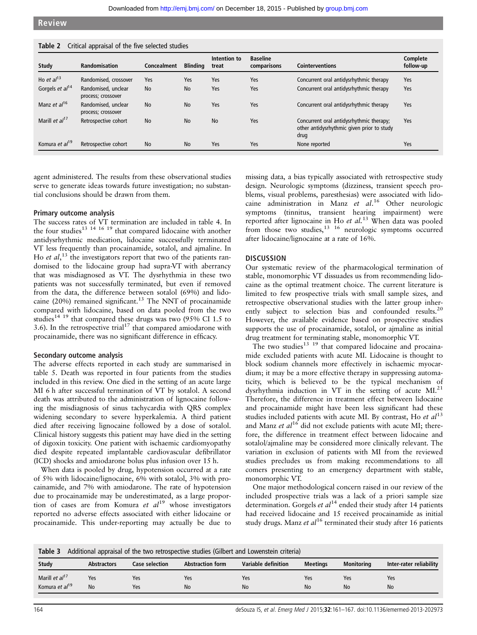| Table 2 Critical appraisal of the five selected studies |  |  |  |  |  |  |
|---------------------------------------------------------|--|--|--|--|--|--|
|---------------------------------------------------------|--|--|--|--|--|--|

| Study                       | <b>Randomisation</b>                      | Concealment | <b>Blinding</b> | Intention to<br>treat | <b>Baseline</b><br>comparisons | <b>Cointerventions</b>                                                                         | Complete<br>follow-up |
|-----------------------------|-------------------------------------------|-------------|-----------------|-----------------------|--------------------------------|------------------------------------------------------------------------------------------------|-----------------------|
| Ho et $al^{13}$             | Randomised, crossover                     | Yes         | Yes             | Yes                   | Yes                            | Concurrent oral antidysrhythmic therapy                                                        | Yes                   |
| Gorgels et al <sup>14</sup> | Randomised, unclear<br>process; crossover | <b>No</b>   | <b>No</b>       | Yes                   | Yes                            | Concurrent oral antidysrhythmic therapy                                                        | Yes                   |
| Manz et al <sup>16</sup>    | Randomised, unclear<br>process; crossover | <b>No</b>   | <b>No</b>       | Yes                   | Yes                            | Concurrent oral antidysrhythmic therapy                                                        | Yes                   |
| Marill et $a^{17}$          | Retrospective cohort                      | <b>No</b>   | <b>No</b>       | <b>No</b>             | Yes                            | Concurrent oral antidysrhythmic therapy;<br>other antidysrhythmic given prior to study<br>drug | Yes                   |
| Komura et $al^{19}$         | Retrospective cohort                      | <b>No</b>   | <b>No</b>       | Yes                   | Yes                            | None reported                                                                                  | Yes                   |

agent administered. The results from these observational studies serve to generate ideas towards future investigation; no substantial conclusions should be drawn from them.

## Primary outcome analysis

The success rates of VT termination are included in table 4. In the four studies<sup>13</sup> <sup>14</sup> <sup>16</sup> <sup>19</sup> that compared lidocaine with another antidysrhythmic medication, lidocaine successfully terminated VT less frequently than procainamide, sotalol, and ajmaline. In Ho et  $al$ ,<sup>13</sup> the investigators report that two of the patients randomised to the lidocaine group had supra-VT with aberrancy that was misdiagnosed as VT. The dysrhythmia in these two patients was not successfully terminated, but even if removed from the data, the difference between sotalol (69%) and lidocaine (20%) remained significant.<sup>13</sup> The NNT of procainamide compared with lidocaine, based on data pooled from the two studies<sup>14 19</sup> that compared these drugs was two (95% CI 1.5 to 3.6). In the retrospective trial<sup>17</sup> that compared amiodarone with procainamide, there was no significant difference in efficacy.

## Secondary outcome analysis

The adverse effects reported in each study are summarised in table 5. Death was reported in four patients from the studies included in this review. One died in the setting of an acute large MI 6 h after successful termination of VT by sotalol. A second death was attributed to the administration of lignocaine following the misdiagnosis of sinus tachycardia with QRS complex widening secondary to severe hyperkalemia. A third patient died after receiving lignocaine followed by a dose of sotalol. Clinical history suggests this patient may have died in the setting of digoxin toxicity. One patient with ischaemic cardiomyopathy died despite repeated implantable cardiovascular defibrillator (ICD) shocks and amiodarone bolus plus infusion over 15 h.

When data is pooled by drug, hypotension occurred at a rate of 5% with lidocaine/lignocaine, 6% with sotalol, 3% with procainamide, and 7% with amiodarone. The rate of hypotension due to procainamide may be underestimated, as a large proportion of cases are from Komura et  $al^{19}$  whose investigators reported no adverse effects associated with either lidocaine or procainamide. This under-reporting may actually be due to

missing data, a bias typically associated with retrospective study design. Neurologic symptoms (dizziness, transient speech problems, visual problems, paresthesias) were associated with lidocaine administration in Manz et al.<sup>16</sup> Other neurologic symptoms (tinnitus, transient hearing impairment) were reported after lignocaine in Ho et  $al$ <sup>13</sup> When data was pooled from those two studies,  $13 \times 16$  neurologic symptoms occurred after lidocaine/lignocaine at a rate of 16%.

## **DISCUSSION**

Our systematic review of the pharmacological termination of stable, monomorphic VT dissuades us from recommending lidocaine as the optimal treatment choice. The current literature is limited to few prospective trials with small sample sizes, and retrospective observational studies with the latter group inherently subject to selection bias and confounded results.<sup>20</sup> However, the available evidence based on prospective studies supports the use of procainamide, sotalol, or ajmaline as initial drug treatment for terminating stable, monomorphic VT.

The two studies $^{13}$  <sup>19</sup> that compared lidocaine and procainamide excluded patients with acute MI. Lidocaine is thought to block sodium channels more effectively in ischaemic myocardium; it may be a more effective therapy in suppressing automaticity, which is believed to be the typical mechanism of dysrhythmia induction in VT in the setting of acute  $MI^{21}$ Therefore, the difference in treatment effect between lidocaine and procainamide might have been less significant had these studies included patients with acute MI. By contrast, Ho *et al*<sup>13</sup> and Manz *et al*<sup>16</sup> did not exclude patients with acute MI; therefore, the difference in treatment effect between lidocaine and sotalol/ajmaline may be considered more clinically relevant. The variation in exclusion of patients with MI from the reviewed studies precludes us from making recommendations to all comers presenting to an emergency department with stable, monomorphic VT.

One major methodological concern raised in our review of the included prospective trials was a lack of a priori sample size determination. Gorgels et  $al^{14}$  ended their study after 14 patients had received lidocaine and 15 received procainamide as initial study drugs. Manz et  $al^{16}$  terminated their study after 16 patients

| Table 3<br>Additional appraisal of the two retrospective studies (Gilbert and Lowenstein criteria) |                    |                       |                         |                     |                 |                  |                         |  |
|----------------------------------------------------------------------------------------------------|--------------------|-----------------------|-------------------------|---------------------|-----------------|------------------|-------------------------|--|
| Study                                                                                              | <b>Abstractors</b> | <b>Case selection</b> | <b>Abstraction form</b> | Variable definition | <b>Meetings</b> | Monitorina       | Inter-rater reliability |  |
| Marill et $a^{17}$<br>Komura et al <sup>19</sup>                                                   | Yes<br>No          | Yes<br>Yes            | Yes<br>No               | Yes<br>No           | Yes<br>No       | Yes<br><b>No</b> | Yes<br><b>No</b>        |  |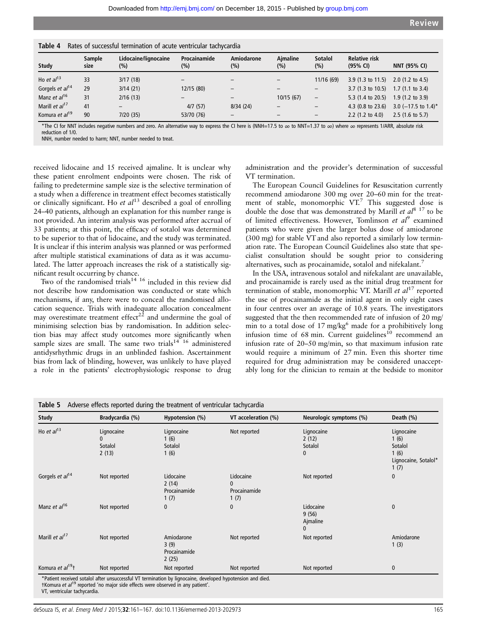| Table 4<br>- Kates of successibilities initiation of active vehiticular tachycarula |                       |                                 |                     |                          |                     |                |                                    |                            |  |
|-------------------------------------------------------------------------------------|-----------------------|---------------------------------|---------------------|--------------------------|---------------------|----------------|------------------------------------|----------------------------|--|
| Study                                                                               | <b>Sample</b><br>size | Lidocaine/lignocaine<br>$(\% )$ | Procainamide<br>(%) | <b>Amiodarone</b><br>(%) | Aimaline<br>$(\% )$ | Sotalol<br>(%) | <b>Relative risk</b><br>(95% CI)   | <b>NNT (95% CI)</b>        |  |
| Ho et $al^{13}$                                                                     | 33                    | 3/17(18)                        |                     |                          |                     | 11/16(69)      | 3.9 (1.3 to 11.5) 2.0 (1.2 to 4.5) |                            |  |
| Gorgels et $al^{14}$                                                                | 29                    | 3/14(21)                        | 12/15(80)           |                          |                     |                | $3.7(1.3 \text{ to } 10.5)$        | $1.7(1.1 \text{ to } 3.4)$ |  |
| Manz et $al^{16}$                                                                   | 31                    | 2/16(13)                        |                     |                          | 10/15(67)           | $-$            | 5.3 $(1.4 \text{ to } 20.5)$       | $1.9(1.2 \text{ to } 3.9)$ |  |
| Marill et $a17$                                                                     | 41                    |                                 | 4/7(57)             | 8/34(24)                 |                     |                | 4.3 $(0.8 \text{ to } 23.6)$       | 3.0 (-17.5 to 1.4)*        |  |
| Komura et al <sup>19</sup>                                                          | 90                    | 7/20(35)                        | 53/70 (76)          |                          |                     |                | 2.2 $(1.2 \text{ to } 4.0)$        | $2.5(1.6 \text{ to } 5.7)$ |  |

Table 4 Rates of successful termination of acute ventricular tachycardia

\*The CI for NNT includes negative numbers and zero. An alternative way to express the CI here is (NNH=17.5 to ∞ to NNT=1.37 to ∞) where ∞ represents 1/ARR, absolute risk reduction of 1/0.

NNH, number needed to harm; NNT, number needed to treat.

received lidocaine and 15 received ajmaline. It is unclear why these patient enrolment endpoints were chosen. The risk of failing to predetermine sample size is the selective termination of a study when a difference in treatment effect becomes statistically or clinically significant. Ho et  $al^{13}$  described a goal of enrolling 24–40 patients, although an explanation for this number range is not provided. An interim analysis was performed after accrual of 33 patients; at this point, the efficacy of sotalol was determined to be superior to that of lidocaine, and the study was terminated. It is unclear if this interim analysis was planned or was performed after multiple statistical examinations of data as it was accumulated. The latter approach increases the risk of a statistically significant result occurring by chance.

Two of the randomised trials<sup>14 16</sup> included in this review did not describe how randomisation was conducted or state which mechanisms, if any, there were to conceal the randomised allocation sequence. Trials with inadequate allocation concealment may overestimate treatment effect<sup>22</sup> and undermine the goal of minimising selection bias by randomisation. In addition selection bias may affect study outcomes more significantly when sample sizes are small. The same two trials<sup>14 16</sup> administered antidysrhythmic drugs in an unblinded fashion. Ascertainment bias from lack of blinding, however, was unlikely to have played a role in the patients' electrophysiologic response to drug

administration and the provider's determination of successful VT termination.

The European Council Guidelines for Resuscitation currently recommend amiodarone 300 mg over 20–60 min for the treatment of stable, monomorphic VT.<sup>7</sup> This suggested dose is double the dose that was demonstrated by Marill et  $al^{8}$  17 to be of limited effectiveness. However, Tomlinson et  $al^9$  examined patients who were given the larger bolus dose of amiodarone (300 mg) for stable VT and also reported a similarly low termination rate. The European Council Guidelines also state that specialist consultation should be sought prior to considering alternatives, such as procainamide, sotalol and nifekalant.<sup>7</sup>

In the USA, intravenous sotalol and nifekalant are unavailable, and procainamide is rarely used as the initial drug treatment for termination of stable, monomorphic VT. Marill et  $al^{17}$  reported the use of procainamide as the initial agent in only eight cases in four centres over an average of 10.8 years. The investigators suggested that the then recommended rate of infusion of 20 mg/ min to a total dose of  $17 \text{ mg/kg}^6$  made for a prohibitively long infusion time of  $68$  min. Current guidelines<sup>10</sup> recommend an infusion rate of 20–50 mg/min, so that maximum infusion rate would require a minimum of 27 min. Even this shorter time required for drug administration may be considered unacceptably long for the clinician to remain at the bedside to monitor

| Study                        | Bradycardia (%)                | Hypotension (%)                             | VT acceleration (%)                               | Neurologic symptoms (%)                        | Death (%)                                                             |
|------------------------------|--------------------------------|---------------------------------------------|---------------------------------------------------|------------------------------------------------|-----------------------------------------------------------------------|
| Ho et $al^{13}$              | Lignocaine<br>Sotalol<br>2(13) | Lignocaine<br>1(6)<br>Sotalol<br>1(6)       | Not reported                                      | Lignocaine<br>2(12)<br>Sotalol<br>$\mathbf{0}$ | Lignocaine<br>1(6)<br>Sotalol<br>1(6)<br>Lignocaine, Sotalol*<br>1(7) |
| Gorgels et al <sup>14</sup>  | Not reported                   | Lidocaine<br>2(14)<br>Procainamide<br>1(7)  | Lidocaine<br>$\mathbf{0}$<br>Procainamide<br>1(7) | Not reported                                   | 0                                                                     |
| Manz et al <sup>16</sup>     | Not reported                   | 0                                           | $\bf{0}$                                          | Lidocaine<br>9(56)<br>Ajmaline<br>$\mathbf{0}$ | 0                                                                     |
| Marill et $al^{17}$          | Not reported                   | Amiodarone<br>3(9)<br>Procainamide<br>2(25) | Not reported                                      | Not reported                                   | Amiodarone<br>1(3)                                                    |
| Komura et al <sup>19</sup> t | Not reported                   | Not reported                                | Not reported                                      | Not reported                                   | 0                                                                     |

\*Patient received sotalol after unsuccessful VT termination by lignocaine, developed hypotension and died.<br>†Komura *et al<sup>19</sup> reported 'no major side effects were observed in any patient'*. VT, ventricular tachycardia.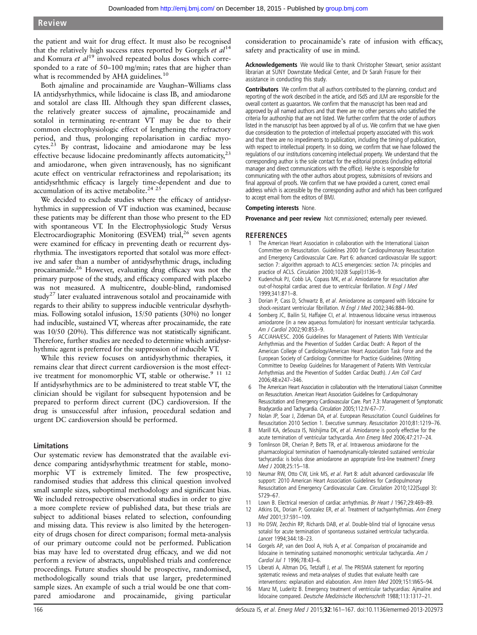the patient and wait for drug effect. It must also be recognised that the relatively high success rates reported by Gorgels et  $al^{14}$ and Komura et  $al^{19}$  involved repeated bolus doses which corresponded to a rate of 50–100 mg/min; rates that are higher than what is recommended by AHA guidelines.<sup>10</sup>

Both ajmaline and procainamide are Vaughan–Williams class IA antidysrhythmics, while lidocaine is class IB, and amiodarone and sotalol are class III. Although they span different classes, the relatively greater success of ajmaline, procainamide and sotalol in terminating re-entrant VT may be due to their common electrophysiologic effect of lengthening the refractory period, and thus, prolonging repolarisation in cardiac myo- $\text{cytes.}^{23}$  By contrast, lidocaine and amiodarone may be less effective because lidocaine predominantly affects automaticity,<sup>23</sup> and amiodarone, when given intravenously, has no significant acute effect on ventricular refractoriness and repolarisation; its antidysrhthmic efficacy is largely time-dependent and due to  $\frac{1}{24}$  accumulation of its active metabolite.<sup>24 25</sup>

We decided to exclude studies where the efficacy of antidysrhythmics in suppression of VT induction was examined, because these patients may be different than those who present to the ED with spontaneous VT. In the Electrophysiologic Study Versus Electrocardiographic Monitoring (ESVEM) trial,<sup>26</sup> seven agents were examined for efficacy in preventing death or recurrent dysrhythmia. The investigators reported that sotalol was more effective and safer than a number of antidysrhythmic drugs, including procainamide.26 However, evaluating drug efficacy was not the primary purpose of the study, and efficacy compared with placebo was not measured. A multicentre, double-blind, randomised study<sup>27</sup> later evaluated intravenous sotalol and procainamide with regards to their ability to suppress inducible ventricular dysrhythmias. Following sotalol infusion, 15/50 patients (30%) no longer had inducible, sustained VT, whereas after procainamide, the rate was 10/50 (20%). This difference was not statistically significant. Therefore, further studies are needed to determine which antidysrhythmic agent is preferred for the suppression of inducible VT.

While this review focuses on antidysrhythmic therapies, it remains clear that direct current cardioversion is the most effective treatment for monomorphic VT, stable or otherwise.<sup>9</sup> <sup>11</sup> <sup>12</sup> If antidysrhythmics are to be administered to treat stable VT, the clinician should be vigilant for subsequent hypotension and be prepared to perform direct current (DC) cardioversion. If the drug is unsuccessful after infusion, procedural sedation and urgent DC cardioversion should be performed.

## Limitations

Our systematic review has demonstrated that the available evidence comparing antidysrhythmic treatment for stable, monomorphic VT is extremely limited. The few prospective, randomised studies that address this clinical question involved small sample sizes, suboptimal methodology and significant bias. We included retrospective observational studies in order to give a more complete review of published data, but these trials are subject to additional biases related to selection, confounding and missing data. This review is also limited by the heterogeneity of drugs chosen for direct comparison; formal meta-analysis of our primary outcome could not be performed. Publication bias may have led to overstated drug efficacy, and we did not perform a review of abstracts, unpublished trials and conference proceedings. Future studies should be prospective, randomised, methodologically sound trials that use larger, predetermined sample sizes. An example of such a trial would be one that compared amiodarone and procainamide, giving particular

consideration to procainamide's rate of infusion with efficacy, safety and practicality of use in mind.

Acknowledgements We would like to thank Christopher Stewart, senior assistant librarian at SUNY Downstate Medical Center, and Dr Sarah Frasure for their assistance in conducting this study.

Contributors We confirm that all authors contributed to the planning, conduct and reporting of the work described in the article, and ISdS and JLM are responsible for the overall content as guarantors. We confirm that the manuscript has been read and approved by all named authors and that there are no other persons who satisfied the criteria for authorship that are not listed. We further confirm that the order of authors listed in the manuscript has been approved by all of us. We confirm that we have given due consideration to the protection of intellectual property associated with this work and that there are no impediments to publication, including the timing of publication, with respect to intellectual property. In so doing, we confirm that we have followed the regulations of our institutions concerning intellectual property. We understand that the corresponding author is the sole contact for the editorial process (including editorial manager and direct communications with the office). He/she is responsible for communicating with the other authors about progress, submissions of revisions and final approval of proofs. We confirm that we have provided a current, correct email address which is accessible by the corresponding author and which has been configured to accept email from the editors of BMJ.

#### Competing interests None.

Provenance and peer review Not commissioned; externally peer reviewed.

## **REFERENCES**

- 1 The American Heart Association in collaboration with the International Liaison Committee on Resuscitation. Guidelines 2000 for Cardiopulmonary Resuscitation and Emergency Cardiovascular Care. Part 6: advanced cardiovascular life support: section 7: algorithm approach to ACLS emergencies: section 7A: principles and practice of ACLS. Circulation 2000;102(8 Suppl):1136-9.
- 2 Kudenchuk PJ, Cobb LA, Copass MK, et al. Amiodarone for resuscitation after out-of-hospital cardiac arrest due to ventricular fibrillation. N Enal J Med 1999;341:871–8.
- Dorian P, Cass D, Schwartz B, et al. Amiodarone as compared with lidocaine for shock-resistant ventricular fibrillation. N Engl J Med 2002;346:884–90.
- Somberg JC, Bailin SJ, Haffajee CI, et al. Intravenous lidocaine versus intravenous amiodarone (in a new aqueous formulation) for incessant ventricular tachycardia. Am J Cardiol 2002;90:853–9.
- 5 ACC/AHA/ESC. 2006 Guidelines for Management of Patients With Ventricular Arrhythmias and the Prevention of Sudden Cardiac Death: A Report of the American College of Cardiology/American Heart Association Task Force and the European Society of Cardiology Committee for Practice Guidelines (Writing Committee to Develop Guidelines for Management of Patients With Ventricular Arrhythmias and the Prevention of Sudden Cardiac Death). J Am Coll Card 2006;48:e247–346.
- 6 The American Heart Association in collaboration with the International Liaison Committee on Resuscitation. American Heart Association Guidelines for Cardiopulmonary Resuscitation and Emergency Cardiovascular Care. Part 7.3: Management of Symptomatic Bradycardia and Tachycardia. Circulation 2005;112:IV-67–77.
- 7 Nolan JP, Soar J, Zideman DA, et al. European Resuscitation Council Guidelines for Resuscitation 2010 Section 1. Executive summary. Resuscitation 2010;81:1219–76.
- 8 Marill KA, deSouza IS, Nishijima DK, et al. Amiodarone is poorly effective for the acute termination of ventricular tachycardia. Ann Emerg Med 2006;47:217–24.
- 9 Tomlinson DR, Cherian P, Betts TR, et al. Intravenous amiodarone for the pharmacological termination of haemodynamically-tolerated sustained ventricular tachycardia: is bolus dose amiodarone an appropriate first-line treatment? Emerg Med J 2008;25:15–18.
- 10 Neumar RW, Otto CW, Link MS, et al. Part 8: adult advanced cardiovascular life support: 2010 American Heart Association Guidelines for Cardiopulmonary Resuscitation and Emergency Cardiovascular Care. Circulation 2010;122(Suppl 3): S729–67.
- 11 Lown B. Electrical reversion of cardiac arrhythmias. Br Heart J 1967;29:469-89.
- Atkins DL, Dorian P, Gonzalez ER, et al. Treatment of tachyarrhythmias. Ann Emerg Med 2001;37:S91–109.
- 13 Ho DSW, Zecchin RP, Richards DAB, et al. Double-blind trial of lignocaine versus sotalol for acute termination of spontaneous sustained ventricular tachycardia. Lancet 1994;344:18–23.
- Gorgels AP, van den Dool A, Hofs A, et al. Comparison of procainamide and lidocaine in terminating sustained monomorphic ventricular tachycardia. Am J Cardiol Jul 1 1996;78:43–6.
- 15 Liberati A, Altman DG, Tetzlaff J, et al. The PRISMA statement for reporting systematic reviews and meta-analyses of studies that evaluate health care interventions: explanation and elaboration. Ann Intern Med 2009;151:W65–94.
- 16 Manz M, Luderitz B. Emergency treatment of ventricular tachycardias: Ajmaline and lidocaine compared. Deutsche Medizinische Wochenschrift 1988;113:1317–21.